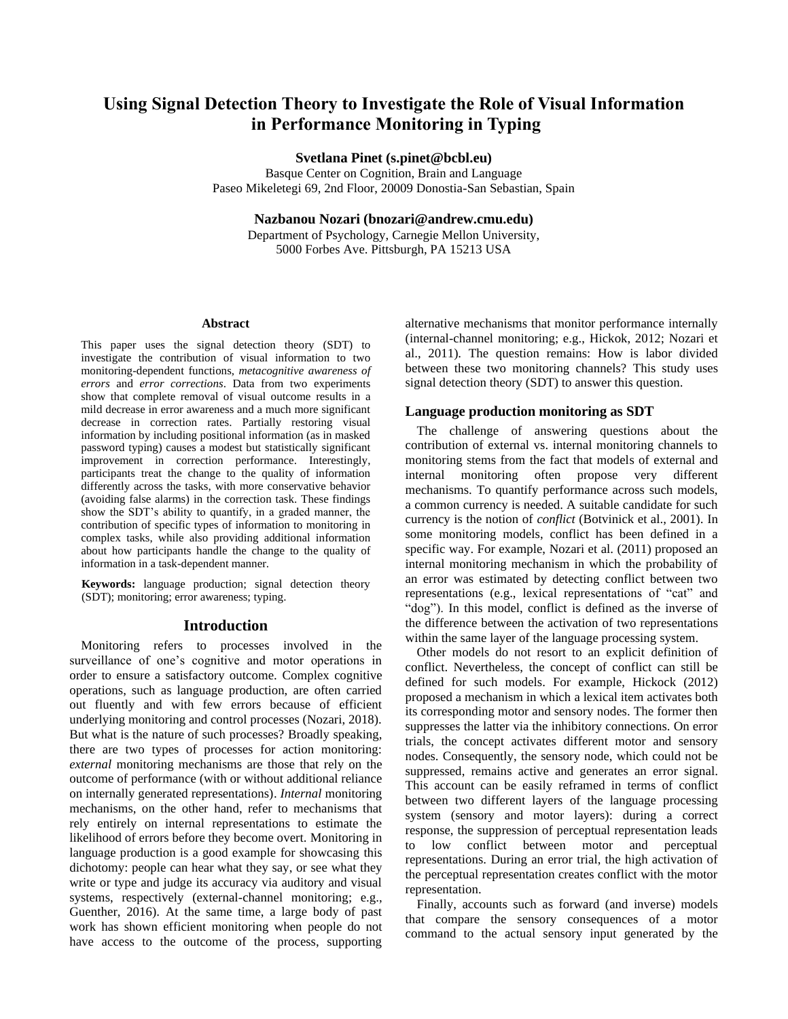# **Using Signal Detection Theory to Investigate the Role of Visual Information in Performance Monitoring in Typing**

**Svetlana Pinet (s.pinet@bcbl.eu)**

Basque Center on Cognition, Brain and Language Paseo Mikeletegi 69, 2nd Floor, 20009 Donostia-San Sebastian, Spain

**Nazbanou Nozari (bnozari@andrew.cmu.edu)**

Department of Psychology, Carnegie Mellon University, 5000 Forbes Ave. Pittsburgh, PA 15213 USA

#### **Abstract**

This paper uses the signal detection theory (SDT) to investigate the contribution of visual information to two monitoring-dependent functions, *metacognitive awareness of errors* and *error corrections*. Data from two experiments show that complete removal of visual outcome results in a mild decrease in error awareness and a much more significant decrease in correction rates. Partially restoring visual information by including positional information (as in masked password typing) causes a modest but statistically significant improvement in correction performance. Interestingly, participants treat the change to the quality of information differently across the tasks, with more conservative behavior (avoiding false alarms) in the correction task. These findings show the SDT's ability to quantify, in a graded manner, the contribution of specific types of information to monitoring in complex tasks, while also providing additional information about how participants handle the change to the quality of information in a task-dependent manner.

**Keywords:** language production; signal detection theory (SDT); monitoring; error awareness; typing.

## **Introduction**

Monitoring refers to processes involved in the surveillance of one's cognitive and motor operations in order to ensure a satisfactory outcome. Complex cognitive operations, such as language production, are often carried out fluently and with few errors because of efficient underlying monitoring and control processes (Nozari, 2018). But what is the nature of such processes? Broadly speaking, there are two types of processes for action monitoring: *external* monitoring mechanisms are those that rely on the outcome of performance (with or without additional reliance on internally generated representations). *Internal* monitoring mechanisms, on the other hand, refer to mechanisms that rely entirely on internal representations to estimate the likelihood of errors before they become overt. Monitoring in language production is a good example for showcasing this dichotomy: people can hear what they say, or see what they write or type and judge its accuracy via auditory and visual systems, respectively (external-channel monitoring; e.g., Guenther, 2016). At the same time, a large body of past work has shown efficient monitoring when people do not have access to the outcome of the process, supporting

alternative mechanisms that monitor performance internally (internal-channel monitoring; e.g., Hickok, 2012; Nozari et al., 2011). The question remains: How is labor divided between these two monitoring channels? This study uses signal detection theory (SDT) to answer this question.

## **Language production monitoring as SDT**

The challenge of answering questions about the contribution of external vs. internal monitoring channels to monitoring stems from the fact that models of external and internal monitoring often propose very different mechanisms. To quantify performance across such models, a common currency is needed. A suitable candidate for such currency is the notion of *conflict* (Botvinick et al., 2001). In some monitoring models, conflict has been defined in a specific way. For example, Nozari et al. (2011) proposed an internal monitoring mechanism in which the probability of an error was estimated by detecting conflict between two representations (e.g., lexical representations of "cat" and "dog"). In this model, conflict is defined as the inverse of the difference between the activation of two representations within the same layer of the language processing system.

Other models do not resort to an explicit definition of conflict. Nevertheless, the concept of conflict can still be defined for such models. For example, Hickock (2012) proposed a mechanism in which a lexical item activates both its corresponding motor and sensory nodes. The former then suppresses the latter via the inhibitory connections. On error trials, the concept activates different motor and sensory nodes. Consequently, the sensory node, which could not be suppressed, remains active and generates an error signal. This account can be easily reframed in terms of conflict between two different layers of the language processing system (sensory and motor layers): during a correct response, the suppression of perceptual representation leads to low conflict between motor and perceptual representations. During an error trial, the high activation of the perceptual representation creates conflict with the motor representation.

Finally, accounts such as forward (and inverse) models that compare the sensory consequences of a motor command to the actual sensory input generated by the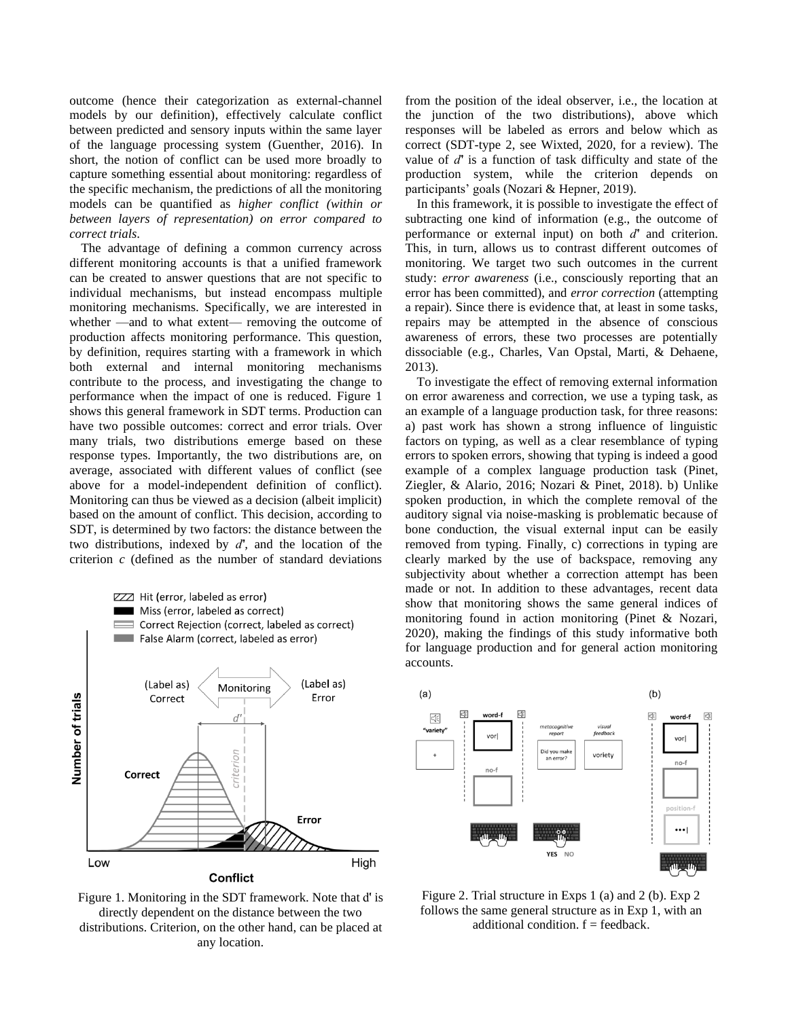outcome (hence their categorization as external-channel models by our definition), effectively calculate conflict between predicted and sensory inputs within the same layer of the language processing system (Guenther, 2016). In short, the notion of conflict can be used more broadly to capture something essential about monitoring: regardless of the specific mechanism, the predictions of all the monitoring models can be quantified as *higher conflict (within or between layers of representation) on error compared to correct trials*.

The advantage of defining a common currency across different monitoring accounts is that a unified framework can be created to answer questions that are not specific to individual mechanisms, but instead encompass multiple monitoring mechanisms. Specifically, we are interested in whether —and to what extent— removing the outcome of production affects monitoring performance. This question, by definition, requires starting with a framework in which both external and internal monitoring mechanisms contribute to the process, and investigating the change to performance when the impact of one is reduced. Figure 1 shows this general framework in SDT terms. Production can have two possible outcomes: correct and error trials. Over many trials, two distributions emerge based on these response types. Importantly, the two distributions are, on average, associated with different values of conflict (see above for a model-independent definition of conflict). Monitoring can thus be viewed as a decision (albeit implicit) based on the amount of conflict. This decision, according to SDT, is determined by two factors: the distance between the two distributions, indexed by *d́',* and the location of the criterion *c* (defined as the number of standard deviations



Figure 1. Monitoring in the SDT framework. Note that d́' is directly dependent on the distance between the two distributions. Criterion, on the other hand, can be placed at any location.

from the position of the ideal observer, i.e., the location at the junction of the two distributions), above which responses will be labeled as errors and below which as correct (SDT-type 2, see Wixted, 2020, for a review). The value of *d́'* is a function of task difficulty and state of the production system, while the criterion depends on participants' goals (Nozari & Hepner, 2019).

In this framework, it is possible to investigate the effect of subtracting one kind of information (e.g., the outcome of performance or external input) on both *d́'* and criterion. This, in turn, allows us to contrast different outcomes of monitoring. We target two such outcomes in the current study: *error awareness* (i.e., consciously reporting that an error has been committed), and *error correction* (attempting a repair). Since there is evidence that, at least in some tasks, repairs may be attempted in the absence of conscious awareness of errors, these two processes are potentially dissociable (e.g., Charles, Van Opstal, Marti, & Dehaene, 2013).

To investigate the effect of removing external information on error awareness and correction, we use a typing task, as an example of a language production task, for three reasons: a) past work has shown a strong influence of linguistic factors on typing, as well as a clear resemblance of typing errors to spoken errors, showing that typing is indeed a good example of a complex language production task (Pinet, Ziegler, & Alario, 2016; Nozari & Pinet, 2018). b) Unlike spoken production, in which the complete removal of the auditory signal via noise-masking is problematic because of bone conduction, the visual external input can be easily removed from typing. Finally, c) corrections in typing are clearly marked by the use of backspace, removing any subjectivity about whether a correction attempt has been made or not. In addition to these advantages, recent data show that monitoring shows the same general indices of monitoring found in action monitoring (Pinet & Nozari, 2020), making the findings of this study informative both for language production and for general action monitoring accounts.



Figure 2. Trial structure in Exps 1 (a) and 2 (b). Exp 2 follows the same general structure as in Exp 1, with an additional condition.  $f = feedback$ .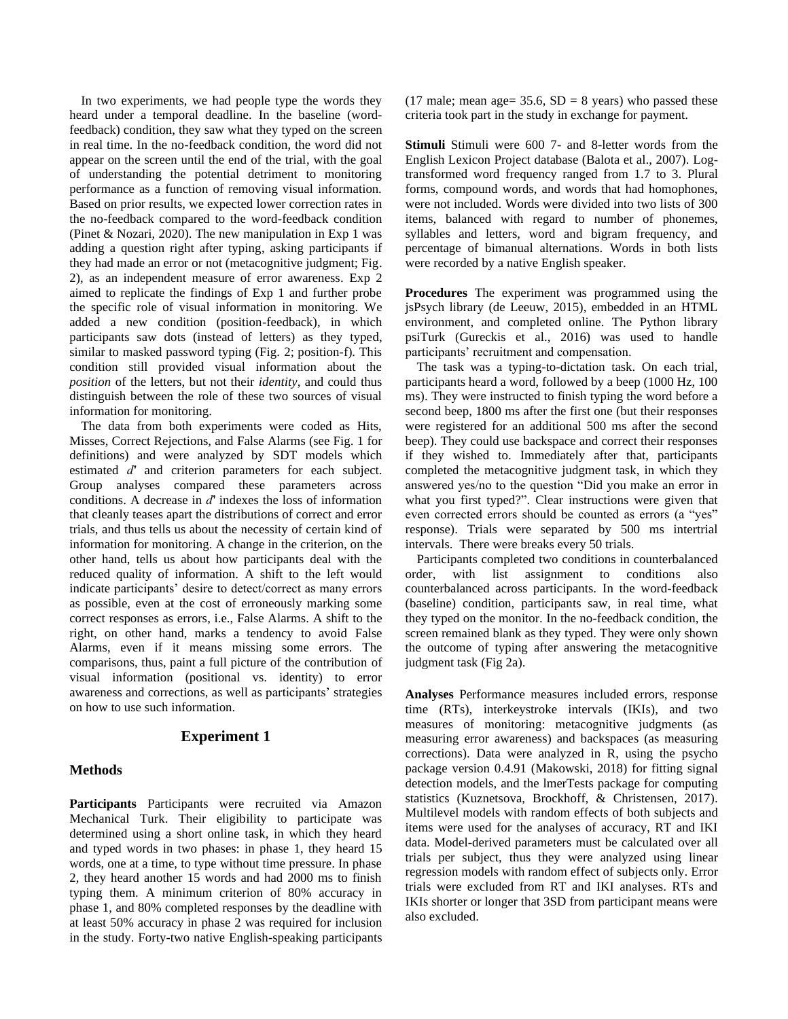In two experiments, we had people type the words they heard under a temporal deadline. In the baseline (wordfeedback) condition, they saw what they typed on the screen in real time. In the no-feedback condition, the word did not appear on the screen until the end of the trial, with the goal of understanding the potential detriment to monitoring performance as a function of removing visual information. Based on prior results, we expected lower correction rates in the no-feedback compared to the word-feedback condition (Pinet & Nozari, 2020). The new manipulation in Exp 1 was adding a question right after typing, asking participants if they had made an error or not (metacognitive judgment; Fig. 2), as an independent measure of error awareness. Exp 2 aimed to replicate the findings of Exp 1 and further probe the specific role of visual information in monitoring. We added a new condition (position-feedback), in which participants saw dots (instead of letters) as they typed, similar to masked password typing (Fig. 2; position-f). This condition still provided visual information about the *position* of the letters, but not their *identity*, and could thus distinguish between the role of these two sources of visual information for monitoring.

The data from both experiments were coded as Hits, Misses, Correct Rejections, and False Alarms (see Fig. 1 for definitions) and were analyzed by SDT models which estimated *d́'* and criterion parameters for each subject. Group analyses compared these parameters across conditions. A decrease in *d́'* indexes the loss of information that cleanly teases apart the distributions of correct and error trials, and thus tells us about the necessity of certain kind of information for monitoring. A change in the criterion, on the other hand, tells us about how participants deal with the reduced quality of information. A shift to the left would indicate participants' desire to detect/correct as many errors as possible, even at the cost of erroneously marking some correct responses as errors, i.e., False Alarms. A shift to the right, on other hand, marks a tendency to avoid False Alarms, even if it means missing some errors. The comparisons, thus, paint a full picture of the contribution of visual information (positional vs. identity) to error awareness and corrections, as well as participants' strategies on how to use such information.

## **Experiment 1**

## **Methods**

**Participants** Participants were recruited via Amazon Mechanical Turk. Their eligibility to participate was determined using a short online task, in which they heard and typed words in two phases: in phase 1, they heard 15 words, one at a time, to type without time pressure. In phase 2, they heard another 15 words and had 2000 ms to finish typing them. A minimum criterion of 80% accuracy in phase 1, and 80% completed responses by the deadline with at least 50% accuracy in phase 2 was required for inclusion in the study. Forty-two native English-speaking participants (17 male; mean age=  $35.6$ , SD = 8 years) who passed these criteria took part in the study in exchange for payment.

**Stimuli** Stimuli were 600 7- and 8-letter words from the English Lexicon Project database (Balota et al., 2007). Logtransformed word frequency ranged from 1.7 to 3. Plural forms, compound words, and words that had homophones, were not included. Words were divided into two lists of 300 items, balanced with regard to number of phonemes, syllables and letters, word and bigram frequency, and percentage of bimanual alternations. Words in both lists were recorded by a native English speaker.

**Procedures** The experiment was programmed using the jsPsych library (de Leeuw, 2015), embedded in an HTML environment, and completed online. The Python library psiTurk (Gureckis et al., 2016) was used to handle participants' recruitment and compensation.

The task was a typing-to-dictation task. On each trial, participants heard a word, followed by a beep (1000 Hz, 100 ms). They were instructed to finish typing the word before a second beep, 1800 ms after the first one (but their responses were registered for an additional 500 ms after the second beep). They could use backspace and correct their responses if they wished to. Immediately after that, participants completed the metacognitive judgment task, in which they answered yes/no to the question "Did you make an error in what you first typed?". Clear instructions were given that even corrected errors should be counted as errors (a "yes" response). Trials were separated by 500 ms intertrial intervals. There were breaks every 50 trials.

Participants completed two conditions in counterbalanced order, with list assignment to conditions also counterbalanced across participants. In the word-feedback (baseline) condition, participants saw, in real time, what they typed on the monitor. In the no-feedback condition, the screen remained blank as they typed. They were only shown the outcome of typing after answering the metacognitive judgment task (Fig 2a).

**Analyses** Performance measures included errors, response time (RTs), interkeystroke intervals (IKIs), and two measures of monitoring: metacognitive judgments (as measuring error awareness) and backspaces (as measuring corrections). Data were analyzed in R, using the psycho package version 0.4.91 (Makowski, 2018) for fitting signal detection models, and the lmerTests package for computing statistics (Kuznetsova, Brockhoff, & Christensen, 2017). Multilevel models with random effects of both subjects and items were used for the analyses of accuracy, RT and IKI data. Model-derived parameters must be calculated over all trials per subject, thus they were analyzed using linear regression models with random effect of subjects only. Error trials were excluded from RT and IKI analyses. RTs and IKIs shorter or longer that 3SD from participant means were also excluded.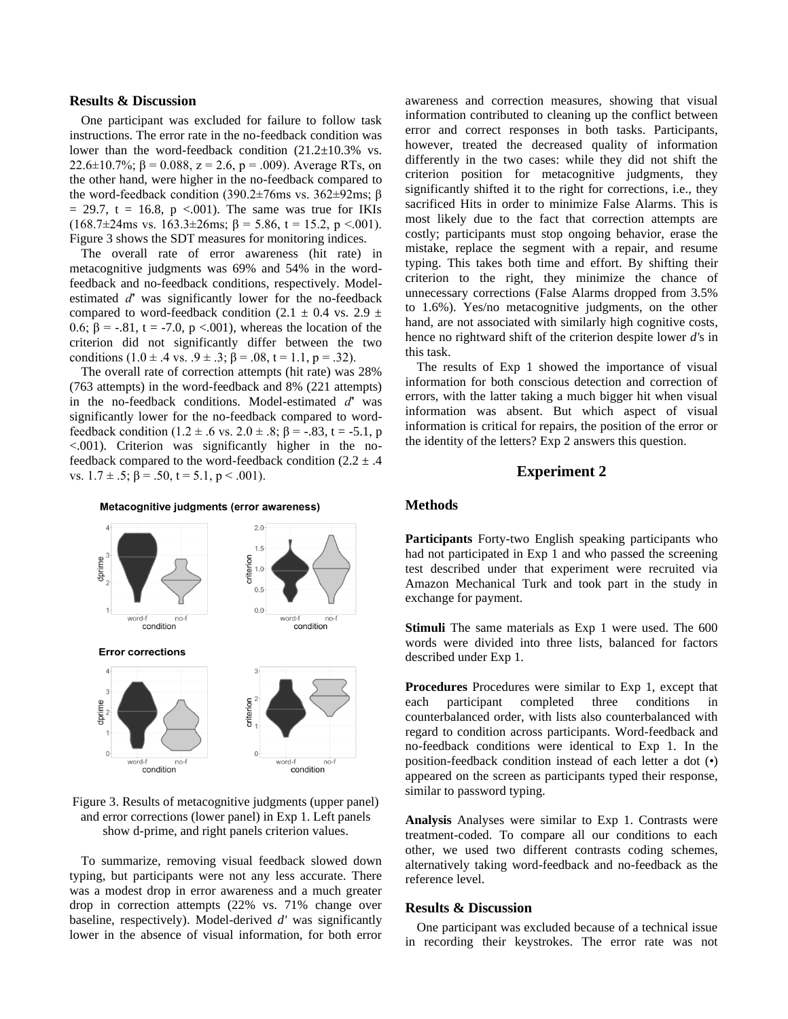#### **Results & Discussion**

One participant was excluded for failure to follow task instructions. The error rate in the no-feedback condition was lower than the word-feedback condition (21.2±10.3% vs. 22.6 $\pm$ 10.7%;  $\beta$  = 0.088, z = 2.6, p = .009). Average RTs, on the other hand, were higher in the no-feedback compared to the word-feedback condition (390.2±76ms vs. 362±92ms; β  $= 29.7$ , t = 16.8, p <.001). The same was true for IKIs (168.7 $\pm$ 24ms vs. 163.3 $\pm$ 26ms;  $\beta$  = 5.86, t = 15.2, p <.001). Figure 3 shows the SDT measures for monitoring indices.

The overall rate of error awareness (hit rate) in metacognitive judgments was 69% and 54% in the wordfeedback and no-feedback conditions, respectively. Modelestimated *d́'* was significantly lower for the no-feedback compared to word-feedback condition (2.1  $\pm$  0.4 vs. 2.9  $\pm$ 0.6; β = -.81, t = -7.0, p <.001), whereas the location of the criterion did not significantly differ between the two conditions  $(1.0 \pm .4 \text{ vs. } .9 \pm .3; \beta = .08, t = 1.1, p = .32)$ .

The overall rate of correction attempts (hit rate) was 28% (763 attempts) in the word-feedback and 8% (221 attempts) in the no-feedback conditions. Model-estimated *d́'* was significantly lower for the no-feedback compared to wordfeedback condition (1.2 ± .6 vs. 2.0 ± .8;  $\beta$  = -.83, t = -5.1, p <.001). Criterion was significantly higher in the nofeedback compared to the word-feedback condition  $(2.2 \pm .4)$ vs.  $1.7 \pm .5$ ;  $\beta = .50$ ,  $t = 5.1$ ,  $p < .001$ ).

Metacognitive judgments (error awareness)



Figure 3. Results of metacognitive judgments (upper panel) and error corrections (lower panel) in Exp 1. Left panels show d-prime, and right panels criterion values.

To summarize, removing visual feedback slowed down typing, but participants were not any less accurate. There was a modest drop in error awareness and a much greater drop in correction attempts (22% vs. 71% change over baseline, respectively). Model-derived *d'* was significantly lower in the absence of visual information, for both error awareness and correction measures, showing that visual information contributed to cleaning up the conflict between error and correct responses in both tasks. Participants, however, treated the decreased quality of information differently in the two cases: while they did not shift the criterion position for metacognitive judgments, they significantly shifted it to the right for corrections, i.e., they sacrificed Hits in order to minimize False Alarms. This is most likely due to the fact that correction attempts are costly; participants must stop ongoing behavior, erase the mistake, replace the segment with a repair, and resume typing. This takes both time and effort. By shifting their criterion to the right, they minimize the chance of unnecessary corrections (False Alarms dropped from 3.5% to 1.6%). Yes/no metacognitive judgments, on the other hand, are not associated with similarly high cognitive costs, hence no rightward shift of the criterion despite lower *d'*s in this task.

The results of Exp 1 showed the importance of visual information for both conscious detection and correction of errors, with the latter taking a much bigger hit when visual information was absent. But which aspect of visual information is critical for repairs, the position of the error or the identity of the letters? Exp 2 answers this question.

### **Experiment 2**

#### **Methods**

**Participants** Forty-two English speaking participants who had not participated in Exp 1 and who passed the screening test described under that experiment were recruited via Amazon Mechanical Turk and took part in the study in exchange for payment.

**Stimuli** The same materials as Exp 1 were used. The 600 words were divided into three lists, balanced for factors described under Exp 1.

**Procedures** Procedures were similar to Exp 1, except that each participant completed three conditions in counterbalanced order, with lists also counterbalanced with regard to condition across participants. Word-feedback and no-feedback conditions were identical to Exp 1. In the position-feedback condition instead of each letter a dot (•) appeared on the screen as participants typed their response, similar to password typing.

**Analysis** Analyses were similar to Exp 1. Contrasts were treatment-coded. To compare all our conditions to each other, we used two different contrasts coding schemes, alternatively taking word-feedback and no-feedback as the reference level.

### **Results & Discussion**

One participant was excluded because of a technical issue in recording their keystrokes. The error rate was not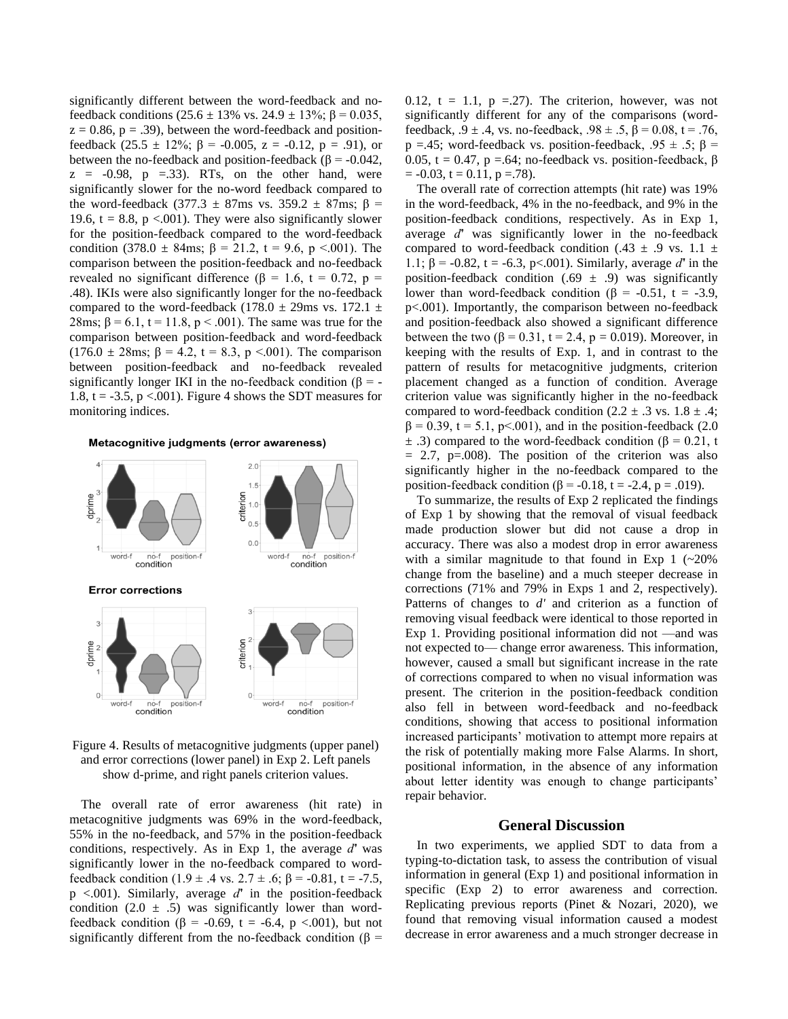significantly different between the word-feedback and nofeedback conditions (25.6  $\pm$  13% vs. 24.9  $\pm$  13%;  $\beta$  = 0.035,  $z = 0.86$ ,  $p = .39$ ), between the word-feedback and positionfeedback (25.5  $\pm$  12%;  $\beta$  = -0.005, z = -0.12, p = .91), or between the no-feedback and position-feedback ( $\beta$  = -0.042,  $z = -0.98$ ,  $p = 0.33$ . RTs, on the other hand, were significantly slower for the no-word feedback compared to the word-feedback (377.3  $\pm$  87ms vs. 359.2  $\pm$  87ms;  $\beta$  = 19.6,  $t = 8.8$ ,  $p < .001$ ). They were also significantly slower for the position-feedback compared to the word-feedback condition (378.0  $\pm$  84ms;  $\beta$  = 21.2, t = 9.6, p <.001). The comparison between the position-feedback and no-feedback revealed no significant difference (β = 1.6, t = 0.72, p = .48). IKIs were also significantly longer for the no-feedback compared to the word-feedback (178.0  $\pm$  29ms vs. 172.1  $\pm$ 28ms;  $β = 6.1$ ,  $t = 11.8$ ,  $p < .001$ ). The same was true for the comparison between position-feedback and word-feedback (176.0  $\pm$  28ms;  $\beta$  = 4.2, t = 8.3, p <.001). The comparison between position-feedback and no-feedback revealed significantly longer IKI in the no-feedback condition ( $\beta$  = -1.8,  $t = -3.5$ ,  $p < .001$ ). Figure 4 shows the SDT measures for monitoring indices.

#### Metacognitive judgments (error awareness)



Figure 4. Results of metacognitive judgments (upper panel) and error corrections (lower panel) in Exp 2. Left panels show d-prime, and right panels criterion values.

The overall rate of error awareness (hit rate) in metacognitive judgments was 69% in the word-feedback, 55% in the no-feedback, and 57% in the position-feedback conditions, respectively. As in Exp 1, the average *d́'* was significantly lower in the no-feedback compared to wordfeedback condition (1.9 ± .4 vs. 2.7 ± .6;  $\beta$  = -0.81, t = -7.5, p <.001). Similarly, average *d́'* in the position-feedback condition (2.0  $\pm$  .5) was significantly lower than wordfeedback condition ( $\beta$  = -0.69, t = -6.4, p <.001), but not significantly different from the no-feedback condition ( $\beta$  = 0.12,  $t = 1.1$ ,  $p = 27$ ). The criterion, however, was not significantly different for any of the comparisons (wordfeedback,  $.9 \pm .4$ , vs. no-feedback,  $.98 \pm .5$ ,  $\beta = 0.08$ , t = .76, p =.45; word-feedback vs. position-feedback, .95  $\pm$  .5;  $\beta$  = 0.05, t = 0.47, p =.64; no-feedback vs. position-feedback,  $\beta$  $= -0.03$ ,  $t = 0.11$ ,  $p = 0.78$ .

The overall rate of correction attempts (hit rate) was 19% in the word-feedback, 4% in the no-feedback, and 9% in the position-feedback conditions, respectively. As in Exp 1, average *d́'* was significantly lower in the no-feedback compared to word-feedback condition (.43  $\pm$  .9 vs. 1.1  $\pm$ 1.1; β = -0.82, t = -6.3, p<.001). Similarly, average *d́'* in the position-feedback condition (.69  $\pm$  .9) was significantly lower than word-feedback condition (β = -0.51, t = -3.9, p<.001). Importantly, the comparison between no-feedback and position-feedback also showed a significant difference between the two (β = 0.31, t = 2.4, p = 0.019). Moreover, in keeping with the results of Exp. 1, and in contrast to the pattern of results for metacognitive judgments, criterion placement changed as a function of condition. Average criterion value was significantly higher in the no-feedback compared to word-feedback condition  $(2.2 \pm .3 \text{ vs. } 1.8 \pm .4)$ ;  $\beta = 0.39$ , t = 5.1, p<.001), and in the position-feedback (2.0)  $\pm$  .3) compared to the word-feedback condition ( $\beta$  = 0.21, t  $= 2.7$ , p=.008). The position of the criterion was also significantly higher in the no-feedback compared to the position-feedback condition ( $\beta$  = -0.18, t = -2.4, p = .019).

To summarize, the results of Exp 2 replicated the findings of Exp 1 by showing that the removal of visual feedback made production slower but did not cause a drop in accuracy. There was also a modest drop in error awareness with a similar magnitude to that found in Exp  $1$  (~20%) change from the baseline) and a much steeper decrease in corrections (71% and 79% in Exps 1 and 2, respectively). Patterns of changes to *d'* and criterion as a function of removing visual feedback were identical to those reported in Exp 1. Providing positional information did not —and was not expected to— change error awareness. This information, however, caused a small but significant increase in the rate of corrections compared to when no visual information was present. The criterion in the position-feedback condition also fell in between word-feedback and no-feedback conditions, showing that access to positional information increased participants' motivation to attempt more repairs at the risk of potentially making more False Alarms. In short, positional information, in the absence of any information about letter identity was enough to change participants' repair behavior.

#### **General Discussion**

In two experiments, we applied SDT to data from a typing-to-dictation task, to assess the contribution of visual information in general (Exp 1) and positional information in specific (Exp 2) to error awareness and correction. Replicating previous reports (Pinet & Nozari, 2020), we found that removing visual information caused a modest decrease in error awareness and a much stronger decrease in